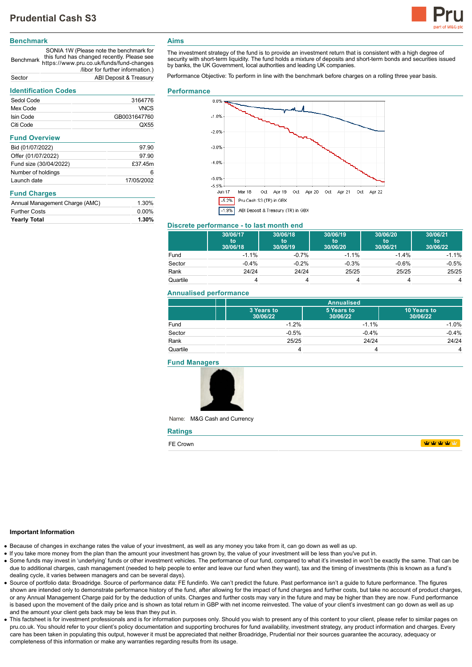

# **Benchmark**

Benchmark https://www.pru.co.uk/funds/fund-changes SONIA 1W (Please note the benchmark for this fund has changed recently. Please see /libor for further information.) Sector ABI Deposit & Treasury

# **Identification Codes**

| identification Codes           |              |  |
|--------------------------------|--------------|--|
| Sedol Code                     | 3164776      |  |
| Mex Code                       | <b>VNCS</b>  |  |
| Isin Code                      | GB0031647760 |  |
| Citi Code                      | QX55         |  |
| <b>Fund Overview</b>           |              |  |
| Bid (01/07/2022)               | 97.90        |  |
| Offer (01/07/2022)             | 97.90        |  |
| Fund size (30/04/2022)         | £37.45m      |  |
| Number of holdings             | 6            |  |
| Launch date                    | 17/05/2002   |  |
| <b>Fund Charges</b>            |              |  |
| Annual Management Charge (AMC) | 1.30%        |  |
| <b>Further Costs</b>           | $0.00\%$     |  |
| <b>Yearly Total</b>            | 1.30%        |  |

# **Aims**

The investment strategy of the fund is to provide an investment return that is consistent with a high degree of security with short-term liquidity. The fund holds a mixture of deposits and short-term bonds and securities issued by banks, the UK Government, local authorities and leading UK companies.

Performance Objective: To perform in line with the benchmark before charges on a rolling three year basis.

#### **Performance**



## **Discrete performance - to last month end**

|          | 30/06/17<br>to<br>30/06/18 | 30/06/18<br>to<br>30/06/19 | 30/06/19<br>to<br>30/06/20 | 30/06/20<br>to<br>30/06/21 | 30/06/21<br>to<br>30/06/22 |
|----------|----------------------------|----------------------------|----------------------------|----------------------------|----------------------------|
| Fund     | $-1.1%$                    | $-0.7%$                    | $-1.1%$                    | $-1.4%$                    | $-1.1%$                    |
| Sector   | $-0.4%$                    | $-0.2%$                    | $-0.3%$                    | $-0.6%$                    | $-0.5%$                    |
| Rank     | 24/24                      | 24/24                      | 25/25                      | 25/25                      | 25/25                      |
| Quartile |                            |                            |                            |                            | 4                          |

#### **Annualised performance**

|          |                        | <b>Annualised</b>      |                         |  |
|----------|------------------------|------------------------|-------------------------|--|
|          | 3 Years to<br>30/06/22 | 5 Years to<br>30/06/22 | 10 Years to<br>30/06/22 |  |
| Fund     | $-1.2%$                | $-1.1%$                | $-1.0%$                 |  |
| Sector   | $-0.5%$                | $-0.4%$                | $-0.4%$                 |  |
| Rank     | 25/25                  | 24/24                  | 24/24                   |  |
| Quartile |                        |                        | 4                       |  |

#### **Fund Managers**



Name: M&G Cash and Currency

| <b>Ratings</b> |                                              |
|----------------|----------------------------------------------|
| FE Crown       | <b>TANA TANA PENDENTAL PERSONAL PROPERTY</b> |

#### **Important Information**

- Because of changes in exchange rates the value of your investment, as well as any money you take from it, can go down as well as up.
- If you take more money from the plan than the amount your investment has grown by, the value of your investment will be less than you've put in.
- Some funds may invest in 'underlying' funds or other investment vehicles. The performance of our fund, compared to what it's invested in won't be exactly the same. That can be due to additional charges, cash management (needed to help people to enter and leave our fund when they want), tax and the timing of investments (this is known as a fund's dealing cycle, it varies between managers and can be several days).
- Source of portfolio data: Broadridge. Source of performance data: FE fundinfo. We can't predict the future. Past performance isn't a guide to future performance. The figures shown are intended only to demonstrate performance history of the fund, after allowing for the impact of fund charges and further costs, but take no account of product charges, or any Annual Management Charge paid for by the deduction of units. Charges and further costs may vary in the future and may be higher than they are now. Fund performance is based upon the movement of the daily price and is shown as total return in GBP with net income reinvested. The value of your client's investment can go down as well as up and the amount your client gets back may be less than they put in.
- This factsheet is for investment professionals and is for information purposes only. Should you wish to present any of this content to your client, please refer to similar pages on pru.co.uk. You should refer to your client's policy documentation and supporting brochures for fund availability, investment strategy, any product information and charges. Every care has been taken in populating this output, however it must be appreciated that neither Broadridge. Prudential nor their sources guarantee the accuracy, adequacy or completeness of this information or make any warranties regarding results from its usage.